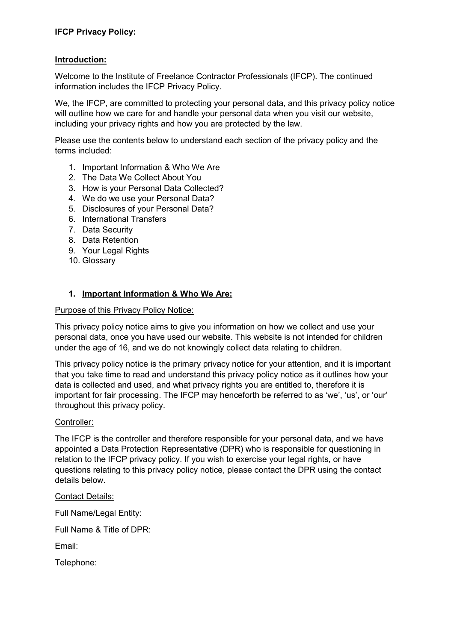### **Introduction:**

Welcome to the Institute of Freelance Contractor Professionals (IFCP). The continued information includes the IFCP Privacy Policy.

We, the IFCP, are committed to protecting your personal data, and this privacy policy notice will outline how we care for and handle your personal data when you visit our website, including your privacy rights and how you are protected by the law.

Please use the contents below to understand each section of the privacy policy and the terms included:

- 1. Important Information & Who We Are
- 2. The Data We Collect About You
- 3. How is your Personal Data Collected?
- 4. We do we use your Personal Data?
- 5. Disclosures of your Personal Data?
- 6. International Transfers
- 7. Data Security
- 8. Data Retention
- 9. Your Legal Rights
- 10. Glossary

### **1. Important Information & Who We Are:**

#### Purpose of this Privacy Policy Notice:

This privacy policy notice aims to give you information on how we collect and use your personal data, once you have used our website. This website is not intended for children under the age of 16, and we do not knowingly collect data relating to children.

This privacy policy notice is the primary privacy notice for your attention, and it is important that you take time to read and understand this privacy policy notice as it outlines how your data is collected and used, and what privacy rights you are entitled to, therefore it is important for fair processing. The IFCP may henceforth be referred to as 'we', 'us', or 'our' throughout this privacy policy.

#### Controller:

The IFCP is the controller and therefore responsible for your personal data, and we have appointed a Data Protection Representative (DPR) who is responsible for questioning in relation to the IFCP privacy policy. If you wish to exercise your legal rights, or have questions relating to this privacy policy notice, please contact the DPR using the contact details below.

#### Contact Details:

Full Name/Legal Entity:

Full Name & Title of DPR:

Email:

Telephone: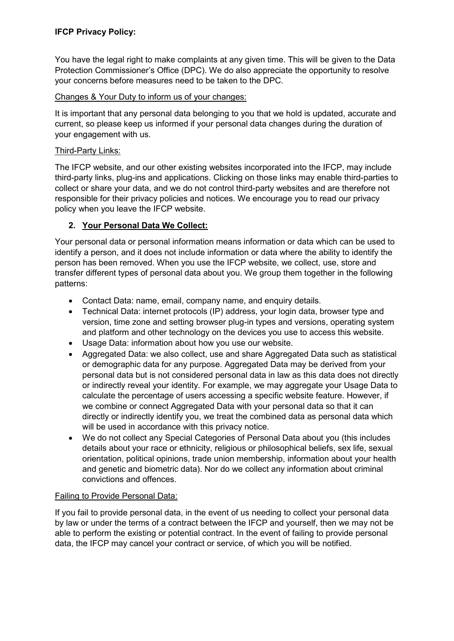# **IFCP Privacy Policy:**

You have the legal right to make complaints at any given time. This will be given to the Data Protection Commissioner's Office (DPC). We do also appreciate the opportunity to resolve your concerns before measures need to be taken to the DPC.

## Changes & Your Duty to inform us of your changes:

It is important that any personal data belonging to you that we hold is updated, accurate and current, so please keep us informed if your personal data changes during the duration of your engagement with us.

### Third-Party Links:

The IFCP website, and our other existing websites incorporated into the IFCP, may include third-party links, plug-ins and applications. Clicking on those links may enable third-parties to collect or share your data, and we do not control third-party websites and are therefore not responsible for their privacy policies and notices. We encourage you to read our privacy policy when you leave the IFCP website.

## **2. Your Personal Data We Collect:**

Your personal data or personal information means information or data which can be used to identify a person, and it does not include information or data where the ability to identify the person has been removed. When you use the IFCP website, we collect, use, store and transfer different types of personal data about you. We group them together in the following patterns:

- Contact Data: name, email, company name, and enquiry details.
- Technical Data: internet protocols (IP) address, your login data, browser type and version, time zone and setting browser plug-in types and versions, operating system and platform and other technology on the devices you use to access this website.
- Usage Data: information about how you use our website.
- Aggregated Data: we also collect, use and share Aggregated Data such as statistical or demographic data for any purpose. Aggregated Data may be derived from your personal data but is not considered personal data in law as this data does not directly or indirectly reveal your identity. For example, we may aggregate your Usage Data to calculate the percentage of users accessing a specific website feature. However, if we combine or connect Aggregated Data with your personal data so that it can directly or indirectly identify you, we treat the combined data as personal data which will be used in accordance with this privacy notice.
- We do not collect any Special Categories of Personal Data about you (this includes details about your race or ethnicity, religious or philosophical beliefs, sex life, sexual orientation, political opinions, trade union membership, information about your health and genetic and biometric data). Nor do we collect any information about criminal convictions and offences.

## Failing to Provide Personal Data:

If you fail to provide personal data, in the event of us needing to collect your personal data by law or under the terms of a contract between the IFCP and yourself, then we may not be able to perform the existing or potential contract. In the event of failing to provide personal data, the IFCP may cancel your contract or service, of which you will be notified.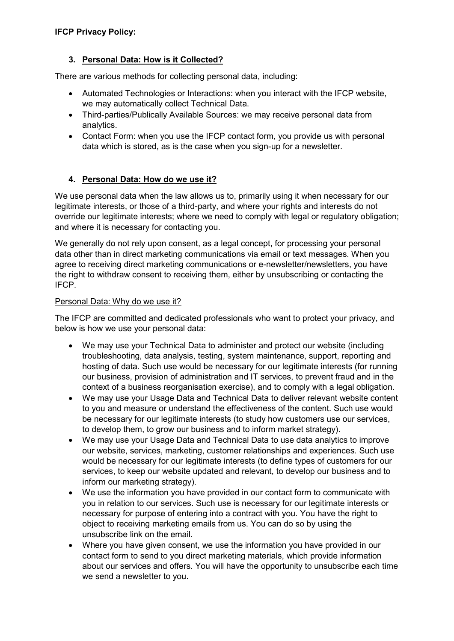# **3. Personal Data: How is it Collected?**

There are various methods for collecting personal data, including:

- Automated Technologies or Interactions: when you interact with the IFCP website, we may automatically collect Technical Data.
- Third-parties/Publically Available Sources: we may receive personal data from analytics.
- Contact Form: when you use the IFCP contact form, you provide us with personal data which is stored, as is the case when you sign-up for a newsletter.

# **4. Personal Data: How do we use it?**

We use personal data when the law allows us to, primarily using it when necessary for our legitimate interests, or those of a third-party, and where your rights and interests do not override our legitimate interests; where we need to comply with legal or regulatory obligation; and where it is necessary for contacting you.

We generally do not rely upon consent, as a legal concept, for processing your personal data other than in direct marketing communications via email or text messages. When you agree to receiving direct marketing communications or e-newsletter/newsletters, you have the right to withdraw consent to receiving them, either by unsubscribing or contacting the IFCP.

## Personal Data: Why do we use it?

The IFCP are committed and dedicated professionals who want to protect your privacy, and below is how we use your personal data:

- We may use your Technical Data to administer and protect our website (including troubleshooting, data analysis, testing, system maintenance, support, reporting and hosting of data. Such use would be necessary for our legitimate interests (for running our business, provision of administration and IT services, to prevent fraud and in the context of a business reorganisation exercise), and to comply with a legal obligation.
- We may use your Usage Data and Technical Data to deliver relevant website content to you and measure or understand the effectiveness of the content. Such use would be necessary for our legitimate interests (to study how customers use our services, to develop them, to grow our business and to inform market strategy).
- We may use your Usage Data and Technical Data to use data analytics to improve our website, services, marketing, customer relationships and experiences. Such use would be necessary for our legitimate interests (to define types of customers for our services, to keep our website updated and relevant, to develop our business and to inform our marketing strategy).
- We use the information you have provided in our contact form to communicate with you in relation to our services. Such use is necessary for our legitimate interests or necessary for purpose of entering into a contract with you. You have the right to object to receiving marketing emails from us. You can do so by using the unsubscribe link on the email.
- Where you have given consent, we use the information you have provided in our contact form to send to you direct marketing materials, which provide information about our services and offers. You will have the opportunity to unsubscribe each time we send a newsletter to you.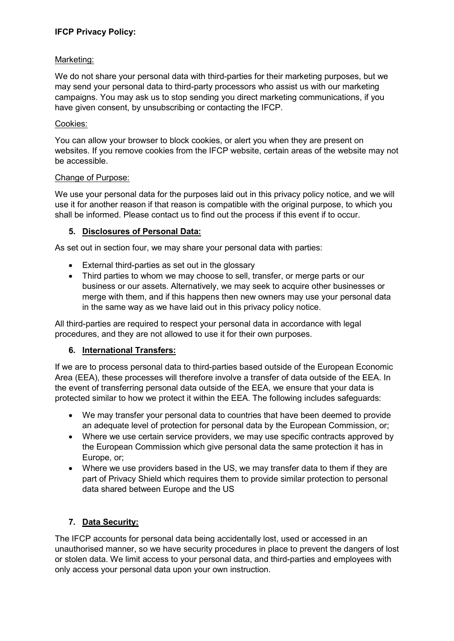# **IFCP Privacy Policy:**

### Marketing:

We do not share your personal data with third-parties for their marketing purposes, but we may send your personal data to third-party processors who assist us with our marketing campaigns. You may ask us to stop sending you direct marketing communications, if you have given consent, by unsubscribing or contacting the IFCP.

### Cookies:

You can allow your browser to block cookies, or alert you when they are present on websites. If you remove cookies from the IFCP website, certain areas of the website may not be accessible.

### Change of Purpose:

We use your personal data for the purposes laid out in this privacy policy notice, and we will use it for another reason if that reason is compatible with the original purpose, to which you shall be informed. Please contact us to find out the process if this event if to occur.

## **5. Disclosures of Personal Data:**

As set out in section four, we may share your personal data with parties:

- External third-parties as set out in the glossary
- Third parties to whom we may choose to sell, transfer, or merge parts or our business or our assets. Alternatively, we may seek to acquire other businesses or merge with them, and if this happens then new owners may use your personal data in the same way as we have laid out in this privacy policy notice.

All third-parties are required to respect your personal data in accordance with legal procedures, and they are not allowed to use it for their own purposes.

## **6. International Transfers:**

If we are to process personal data to third-parties based outside of the European Economic Area (EEA), these processes will therefore involve a transfer of data outside of the EEA. In the event of transferring personal data outside of the EEA, we ensure that your data is protected similar to how we protect it within the EEA. The following includes safeguards:

- We may transfer your personal data to countries that have been deemed to provide an adequate level of protection for personal data by the European Commission, or;
- Where we use certain service providers, we may use specific contracts approved by the European Commission which give personal data the same protection it has in Europe, or;
- Where we use providers based in the US, we may transfer data to them if they are part of Privacy Shield which requires them to provide similar protection to personal data shared between Europe and the US

## **7. Data Security:**

The IFCP accounts for personal data being accidentally lost, used or accessed in an unauthorised manner, so we have security procedures in place to prevent the dangers of lost or stolen data. We limit access to your personal data, and third-parties and employees with only access your personal data upon your own instruction.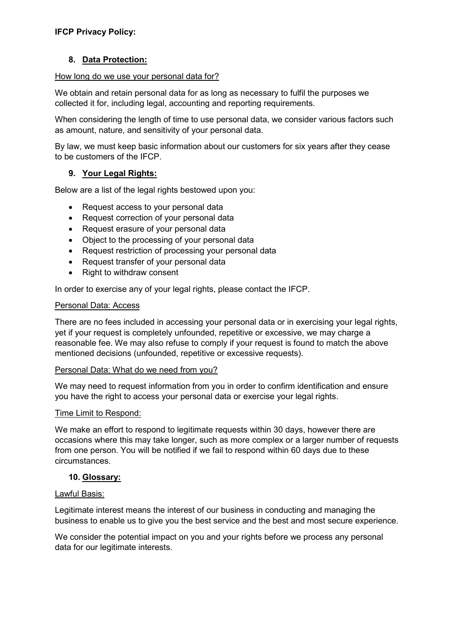## **8. Data Protection:**

#### How long do we use your personal data for?

We obtain and retain personal data for as long as necessary to fulfil the purposes we collected it for, including legal, accounting and reporting requirements.

When considering the length of time to use personal data, we consider various factors such as amount, nature, and sensitivity of your personal data.

By law, we must keep basic information about our customers for six years after they cease to be customers of the IFCP.

### **9. Your Legal Rights:**

Below are a list of the legal rights bestowed upon you:

- Request access to your personal data
- Request correction of your personal data
- Request erasure of your personal data
- Object to the processing of your personal data
- Request restriction of processing your personal data
- Request transfer of your personal data
- Right to withdraw consent

In order to exercise any of your legal rights, please contact the IFCP.

#### Personal Data: Access

There are no fees included in accessing your personal data or in exercising your legal rights, yet if your request is completely unfounded, repetitive or excessive, we may charge a reasonable fee. We may also refuse to comply if your request is found to match the above mentioned decisions (unfounded, repetitive or excessive requests).

#### Personal Data: What do we need from you?

We may need to request information from you in order to confirm identification and ensure you have the right to access your personal data or exercise your legal rights.

#### Time Limit to Respond:

We make an effort to respond to legitimate requests within 30 days, however there are occasions where this may take longer, such as more complex or a larger number of requests from one person. You will be notified if we fail to respond within 60 days due to these circumstances.

#### **10. Glossary:**

#### Lawful Basis:

Legitimate interest means the interest of our business in conducting and managing the business to enable us to give you the best service and the best and most secure experience.

We consider the potential impact on you and your rights before we process any personal data for our legitimate interests.